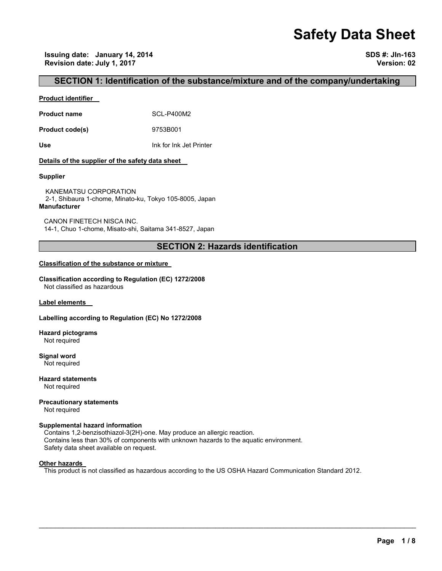# **Safety Data Sheet**

**Issuing date: January 14, 2014 SDS #: JIn-163 Revision date: July 1, 2017 Version: 02** 

## **SECTION 1: Identification of the substance/mixture and of the company/undertaking**

#### **Product identifier**

**Product name** SCL-P400M2

**Product code(s)** 9753B001

**Use** Ink for Ink Jet Printer

#### **Details of the supplier of the safety data sheet**

#### **Supplier**

KANEMATSU CORPORATION 2-1, Shibaura 1-chome, Minato-ku, Tokyo 105-8005, Japan **Manufacturer**

CANON FINETECH NISCA INC. 14-1, Chuo 1-chome, Misato-shi, Saitama 341-8527, Japan

## **SECTION 2: Hazards identification**

#### **Classification of the substance or mixture**

**Classification according to Regulation (EC) 1272/2008** Not classified as hazardous

**Label elements** 

#### **Labelling according to Regulation (EC) No 1272/2008**

**Hazard pictograms** Not required

**Signal word** Not required

**Hazard statements** Not required

**Precautionary statements**  Not required

## **Supplemental hazard information**

Contains 1,2-benzisothiazol-3(2H)-one. May produce an allergic reaction. Contains less than 30% of components with unknown hazards to the aquatic environment. Safety data sheet available on request.

#### **Other hazards**

This product is not classified as hazardous according to the US OSHA Hazard Communication Standard 2012.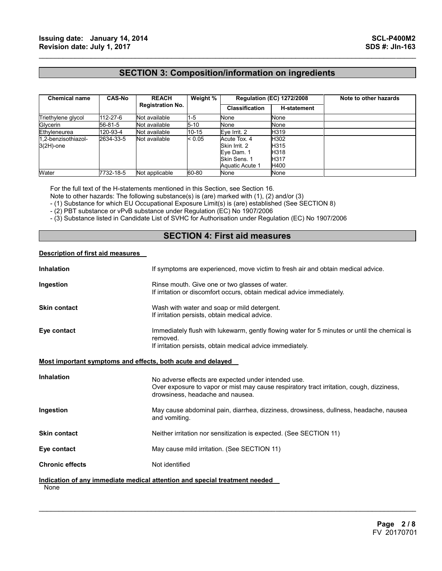## **SECTION 3: Composition/information on ingredients**

 $\mathcal{L}_\mathcal{L} = \{ \mathcal{L}_\mathcal{L} = \{ \mathcal{L}_\mathcal{L} = \{ \mathcal{L}_\mathcal{L} = \{ \mathcal{L}_\mathcal{L} = \{ \mathcal{L}_\mathcal{L} = \{ \mathcal{L}_\mathcal{L} = \{ \mathcal{L}_\mathcal{L} = \{ \mathcal{L}_\mathcal{L} = \{ \mathcal{L}_\mathcal{L} = \{ \mathcal{L}_\mathcal{L} = \{ \mathcal{L}_\mathcal{L} = \{ \mathcal{L}_\mathcal{L} = \{ \mathcal{L}_\mathcal{L} = \{ \mathcal{L}_\mathcal{$ 

| <b>Chemical name</b> | <b>CAS-No</b> | <b>REACH</b><br><b>Registration No.</b> | Weight % | <b>Regulation (EC) 1272/2008</b> |                    | Note to other hazards |
|----------------------|---------------|-----------------------------------------|----------|----------------------------------|--------------------|-----------------------|
|                      |               |                                         |          | <b>Classification</b>            | <b>H-statement</b> |                       |
| Triethylene glycol   | 112-27-6      | Not available                           | $1-5$    | None                             | None               |                       |
| Glycerin             | 56-81-5       | Not available                           | $5 - 10$ | None                             | None               |                       |
| Ethyleneurea         | 120-93-4      | Not available                           | 10-15    | Eve Irrit. 2                     | H319               |                       |
| 1.2-benzisothiazol-  | 2634-33-5     | Not available                           | < 0.05   | Acute Tox. 4                     | H302               |                       |
| $3(2H)$ -one         |               |                                         |          | Skin Irrit, 2                    | H315               |                       |
|                      |               |                                         |          | Eve Dam. 1                       | H318               |                       |
|                      |               |                                         |          | Skin Sens, 1                     | H <sub>317</sub>   |                       |
|                      |               |                                         |          | Aquatic Acute 1                  | H400               |                       |
| Water                | 7732-18-5     | Not applicable                          | 60-80    | None                             | None               |                       |

For the full text of the H-statements mentioned in this Section, see Section 16.

Note to other hazards: The following substance(s) is (are) marked with (1), (2) and/or (3)

- (1) Substance for which EU Occupational Exposure Limit(s) is (are) established (See SECTION 8)

- (2) PBT substance or vPvB substance under Regulation (EC) No 1907/2006

- (3) Substance listed in Candidate List of SVHC for Authorisation under Regulation (EC) No 1907/2006

## **SECTION 4: First aid measures**

#### **Description of first aid measures**

| <b>Inhalation</b>                                           | If symptoms are experienced, move victim to fresh air and obtain medical advice.                                                                                                    |
|-------------------------------------------------------------|-------------------------------------------------------------------------------------------------------------------------------------------------------------------------------------|
| Ingestion                                                   | Rinse mouth. Give one or two glasses of water.<br>If irritation or discomfort occurs, obtain medical advice immediately.                                                            |
| <b>Skin contact</b>                                         | Wash with water and soap or mild detergent.<br>If irritation persists, obtain medical advice.                                                                                       |
| Eye contact                                                 | Immediately flush with lukewarm, gently flowing water for 5 minutes or until the chemical is<br>removed.<br>If irritation persists, obtain medical advice immediately.              |
| Most important symptoms and effects, both acute and delayed |                                                                                                                                                                                     |
| <b>Inhalation</b>                                           | No adverse effects are expected under intended use.<br>Over exposure to vapor or mist may cause respiratory tract irritation, cough, dizziness,<br>drowsiness, headache and nausea. |
| Ingestion                                                   | May cause abdominal pain, diarrhea, dizziness, drowsiness, dullness, headache, nausea<br>and vomiting.                                                                              |
| <b>Skin contact</b>                                         | Neither irritation nor sensitization is expected. (See SECTION 11)                                                                                                                  |
| Eye contact                                                 | May cause mild irritation. (See SECTION 11)                                                                                                                                         |
| <b>Chronic effects</b>                                      | Not identified                                                                                                                                                                      |
| None                                                        | Indication of any immediate medical attention and special treatment needed                                                                                                          |

 $\mathcal{L}_\mathcal{L} = \mathcal{L}_\mathcal{L} = \mathcal{L}_\mathcal{L} = \mathcal{L}_\mathcal{L} = \mathcal{L}_\mathcal{L} = \mathcal{L}_\mathcal{L} = \mathcal{L}_\mathcal{L} = \mathcal{L}_\mathcal{L} = \mathcal{L}_\mathcal{L} = \mathcal{L}_\mathcal{L} = \mathcal{L}_\mathcal{L} = \mathcal{L}_\mathcal{L} = \mathcal{L}_\mathcal{L} = \mathcal{L}_\mathcal{L} = \mathcal{L}_\mathcal{L} = \mathcal{L}_\mathcal{L} = \mathcal{L}_\mathcal{L}$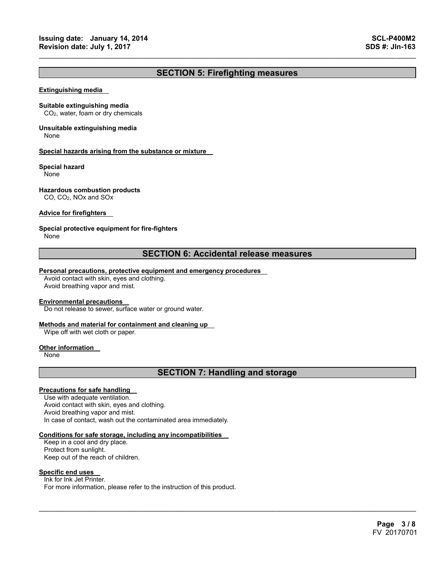## **SECTION 5: Firefighting measures**

 $\mathcal{L}_\mathcal{L} = \{ \mathcal{L}_\mathcal{L} = \{ \mathcal{L}_\mathcal{L} = \{ \mathcal{L}_\mathcal{L} = \{ \mathcal{L}_\mathcal{L} = \{ \mathcal{L}_\mathcal{L} = \{ \mathcal{L}_\mathcal{L} = \{ \mathcal{L}_\mathcal{L} = \{ \mathcal{L}_\mathcal{L} = \{ \mathcal{L}_\mathcal{L} = \{ \mathcal{L}_\mathcal{L} = \{ \mathcal{L}_\mathcal{L} = \{ \mathcal{L}_\mathcal{L} = \{ \mathcal{L}_\mathcal{L} = \{ \mathcal{L}_\mathcal{$ 

#### **Extinguishing media**

#### **Suitable extinguishing media**

CO2, water, foam or dry chemicals

## **Unsuitable extinguishing media**

None

#### **Special hazards arising from the substance or mixture**

#### **Special hazard**

None

#### **Hazardous combustion products**

CO, CO2, NOx and SOx

#### **Advice for firefighters**

#### **Special protective equipment for fire-fighters**

None

## **SECTION 6: Accidental release measures**

#### **Personal precautions, protective equipment and emergency procedures**

Avoid contact with skin, eyes and clothing. Avoid breathing vapor and mist.

#### **Environmental precautions**

Do not release to sewer, surface water or ground water.

#### **Methods and material for containment and cleaning up**

Wipe off with wet cloth or paper.

#### **Other information**

None

## **SECTION 7: Handling and storage**

 $\mathcal{L}_\mathcal{L} = \mathcal{L}_\mathcal{L} = \mathcal{L}_\mathcal{L} = \mathcal{L}_\mathcal{L} = \mathcal{L}_\mathcal{L} = \mathcal{L}_\mathcal{L} = \mathcal{L}_\mathcal{L} = \mathcal{L}_\mathcal{L} = \mathcal{L}_\mathcal{L} = \mathcal{L}_\mathcal{L} = \mathcal{L}_\mathcal{L} = \mathcal{L}_\mathcal{L} = \mathcal{L}_\mathcal{L} = \mathcal{L}_\mathcal{L} = \mathcal{L}_\mathcal{L} = \mathcal{L}_\mathcal{L} = \mathcal{L}_\mathcal{L}$ 

#### **Precautions for safe handling**

Use with adequate ventilation. Avoid contact with skin, eyes and clothing. Avoid breathing vapor and mist. In case of contact, wash out the contaminated area immediately.

#### **Conditions for safe storage, including any incompatibilities**

Keep in a cool and dry place. Protect from sunlight. Keep out of the reach of children.

#### **Specific end uses**

Ink for Ink Jet Printer. For more information, please refer to the instruction of this product.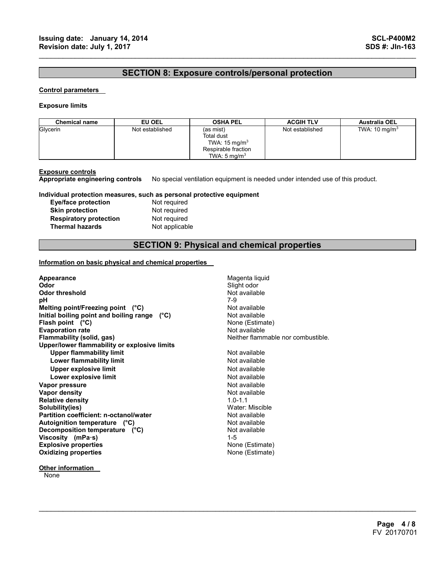## **SECTION 8: Exposure controls/personal protection**

 $\mathcal{L}_\mathcal{L} = \{ \mathcal{L}_\mathcal{L} = \{ \mathcal{L}_\mathcal{L} = \{ \mathcal{L}_\mathcal{L} = \{ \mathcal{L}_\mathcal{L} = \{ \mathcal{L}_\mathcal{L} = \{ \mathcal{L}_\mathcal{L} = \{ \mathcal{L}_\mathcal{L} = \{ \mathcal{L}_\mathcal{L} = \{ \mathcal{L}_\mathcal{L} = \{ \mathcal{L}_\mathcal{L} = \{ \mathcal{L}_\mathcal{L} = \{ \mathcal{L}_\mathcal{L} = \{ \mathcal{L}_\mathcal{L} = \{ \mathcal{L}_\mathcal{$ 

#### **Control parameters**

#### **Exposure limits**

| <b>Chemical name</b> | EU OEL          | <b>OSHA PEL</b>                                                                                       | <b>ACGIH TLV</b> | <b>Australia OEL</b>     |
|----------------------|-----------------|-------------------------------------------------------------------------------------------------------|------------------|--------------------------|
| Glycerin             | Not established | (as mist)<br>Total dust<br>TWA: $15 \text{ mg/m}^3$<br>Respirable fraction<br>TWA: $5 \text{ mg/m}^3$ | Not established  | TWA: $10 \text{ mg/m}^3$ |

**Exposure controls Appropriate engineering controls** No special ventilation equipment is needed under intended use of this product.

#### **Individual protection measures, such as personal protective equipment**

| Eye/face protection           |
|-------------------------------|
| <b>Skin protection</b>        |
| <b>Respiratory protection</b> |
| <b>Thermal hazards</b>        |

**Not required Not required Not required Not applicable** 

## **SECTION 9: Physical and chemical properties**

 $\mathcal{L}_\mathcal{L} = \mathcal{L}_\mathcal{L} = \mathcal{L}_\mathcal{L} = \mathcal{L}_\mathcal{L} = \mathcal{L}_\mathcal{L} = \mathcal{L}_\mathcal{L} = \mathcal{L}_\mathcal{L} = \mathcal{L}_\mathcal{L} = \mathcal{L}_\mathcal{L} = \mathcal{L}_\mathcal{L} = \mathcal{L}_\mathcal{L} = \mathcal{L}_\mathcal{L} = \mathcal{L}_\mathcal{L} = \mathcal{L}_\mathcal{L} = \mathcal{L}_\mathcal{L} = \mathcal{L}_\mathcal{L} = \mathcal{L}_\mathcal{L}$ 

#### **Information on basic physical and chemical properties**

| Appearance<br>Odor<br><b>Odor threshold</b><br>рH<br>Melting point/Freezing point (°C)<br>Initial boiling point and boiling range (°C) | Magenta liquid<br>Slight odor<br>Not available<br>7-9<br>Not available<br>Not available |
|----------------------------------------------------------------------------------------------------------------------------------------|-----------------------------------------------------------------------------------------|
| Flash point $(^{\circ}C)$                                                                                                              | None (Estimate)                                                                         |
| <b>Evaporation rate</b>                                                                                                                | Not available<br>Neither flammable nor combustible.                                     |
| Flammability (solid, gas)                                                                                                              |                                                                                         |
| Upper/lower flammability or explosive limits<br><b>Upper flammability limit</b>                                                        | Not available                                                                           |
| Lower flammability limit                                                                                                               | Not available                                                                           |
|                                                                                                                                        | Not available                                                                           |
| <b>Upper explosive limit</b>                                                                                                           |                                                                                         |
| Lower explosive limit                                                                                                                  | Not available                                                                           |
| Vapor pressure                                                                                                                         | Not available                                                                           |
| Vapor density                                                                                                                          | Not available                                                                           |
| <b>Relative density</b>                                                                                                                | $1.0 - 1.1$                                                                             |
| Solubility(ies)                                                                                                                        | Water: Miscible                                                                         |
| Partition coefficient: n-octanol/water                                                                                                 | Not available                                                                           |
| Autoignition temperature (°C)                                                                                                          | Not available                                                                           |
| Decomposition temperature (°C)                                                                                                         | Not available                                                                           |
| Viscosity (mPa·s)                                                                                                                      | $1 - 5$                                                                                 |
| <b>Explosive properties</b>                                                                                                            | None (Estimate)                                                                         |
| <b>Oxidizing properties</b>                                                                                                            | None (Estimate)                                                                         |
|                                                                                                                                        |                                                                                         |

**None**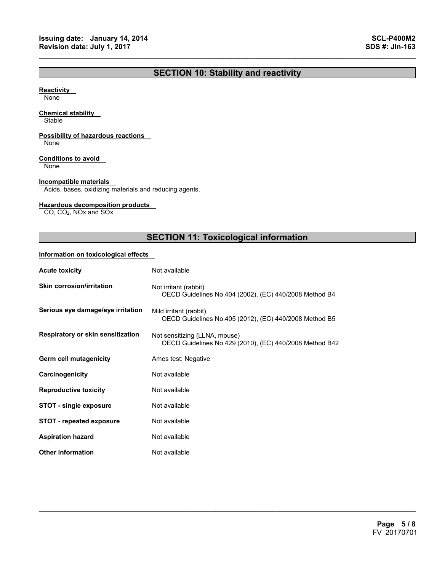## **SECTION 10: Stability and reactivity**

 $\mathcal{L}_\mathcal{L} = \{ \mathcal{L}_\mathcal{L} = \{ \mathcal{L}_\mathcal{L} = \{ \mathcal{L}_\mathcal{L} = \{ \mathcal{L}_\mathcal{L} = \{ \mathcal{L}_\mathcal{L} = \{ \mathcal{L}_\mathcal{L} = \{ \mathcal{L}_\mathcal{L} = \{ \mathcal{L}_\mathcal{L} = \{ \mathcal{L}_\mathcal{L} = \{ \mathcal{L}_\mathcal{L} = \{ \mathcal{L}_\mathcal{L} = \{ \mathcal{L}_\mathcal{L} = \{ \mathcal{L}_\mathcal{L} = \{ \mathcal{L}_\mathcal{$ 

#### **Reactivity**

None

#### **Chemical stability**

**Stable** 

### **Possibility of hazardous reactions**

None

#### **Conditions to avoid**

None

#### **Incompatible materials**

Acids, bases, oxidizing materials and reducing agents.

#### **Hazardous decomposition products**

CO, CO2, NOx and SOx

## **SECTION 11: Toxicological information**

 $\mathcal{L}_\mathcal{L} = \mathcal{L}_\mathcal{L} = \mathcal{L}_\mathcal{L} = \mathcal{L}_\mathcal{L} = \mathcal{L}_\mathcal{L} = \mathcal{L}_\mathcal{L} = \mathcal{L}_\mathcal{L} = \mathcal{L}_\mathcal{L} = \mathcal{L}_\mathcal{L} = \mathcal{L}_\mathcal{L} = \mathcal{L}_\mathcal{L} = \mathcal{L}_\mathcal{L} = \mathcal{L}_\mathcal{L} = \mathcal{L}_\mathcal{L} = \mathcal{L}_\mathcal{L} = \mathcal{L}_\mathcal{L} = \mathcal{L}_\mathcal{L}$ 

#### **Information on toxicological effects**

| <b>Acute toxicity</b>             | Not available                                                                            |
|-----------------------------------|------------------------------------------------------------------------------------------|
| <b>Skin corrosion/irritation</b>  | Not irritant (rabbit)<br>OECD Guidelines No.404 (2002), (EC) 440/2008 Method B4          |
| Serious eye damage/eye irritation | Mild irritant (rabbit)<br>OECD Guidelines No.405 (2012), (EC) 440/2008 Method B5         |
| Respiratory or skin sensitization | Not sensitizing (LLNA, mouse)<br>OECD Guidelines No.429 (2010), (EC) 440/2008 Method B42 |
| Germ cell mutagenicity            | Ames test: Negative                                                                      |
| Carcinogenicity                   | Not available                                                                            |
| <b>Reproductive toxicity</b>      | Not available                                                                            |
| <b>STOT - single exposure</b>     | Not available                                                                            |
| <b>STOT - repeated exposure</b>   | Not available                                                                            |
| <b>Aspiration hazard</b>          | Not available                                                                            |
| <b>Other information</b>          | Not available                                                                            |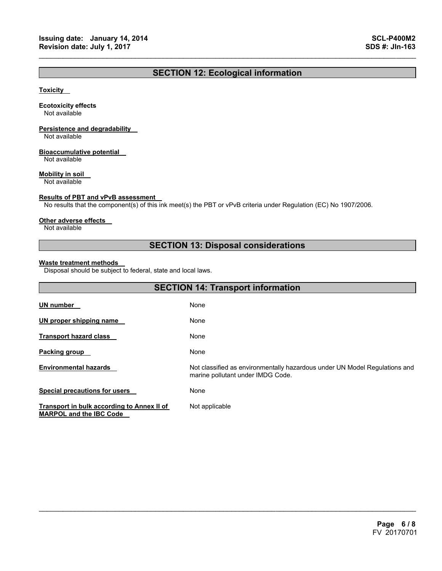## **SECTION 12: Ecological information**

 $\mathcal{L}_\mathcal{L} = \{ \mathcal{L}_\mathcal{L} = \{ \mathcal{L}_\mathcal{L} = \{ \mathcal{L}_\mathcal{L} = \{ \mathcal{L}_\mathcal{L} = \{ \mathcal{L}_\mathcal{L} = \{ \mathcal{L}_\mathcal{L} = \{ \mathcal{L}_\mathcal{L} = \{ \mathcal{L}_\mathcal{L} = \{ \mathcal{L}_\mathcal{L} = \{ \mathcal{L}_\mathcal{L} = \{ \mathcal{L}_\mathcal{L} = \{ \mathcal{L}_\mathcal{L} = \{ \mathcal{L}_\mathcal{L} = \{ \mathcal{L}_\mathcal{$ 

#### **Toxicity**

#### **Ecotoxicity effects**

Not available

## **Persistence and degradability**

Not available

#### **Bioaccumulative potential**

Not available

#### **Mobility in soil**

Not available

#### **Results of PBT and vPvB assessment**

No results that the component(s) of this ink meet(s) the PBT or vPvB criteria under Regulation (EC) No 1907/2006.

#### **Other adverse effects**

Not available

## **SECTION 13: Disposal considerations**

#### **Waste treatment methods**

Disposal should be subject to federal, state and local laws.

| <b>SECTION 14: Transport information</b>                                     |                                                                                                                 |  |
|------------------------------------------------------------------------------|-----------------------------------------------------------------------------------------------------------------|--|
| <b>UN number</b>                                                             | None                                                                                                            |  |
| UN proper shipping name                                                      | None                                                                                                            |  |
| <b>Transport hazard class</b>                                                | None                                                                                                            |  |
| <b>Packing group</b>                                                         | None                                                                                                            |  |
| <b>Environmental hazards</b>                                                 | Not classified as environmentally hazardous under UN Model Regulations and<br>marine pollutant under IMDG Code. |  |
| <b>Special precautions for users</b>                                         | None                                                                                                            |  |
| Transport in bulk according to Annex II of<br><b>MARPOL and the IBC Code</b> | Not applicable                                                                                                  |  |

 $\mathcal{L}_\mathcal{L} = \mathcal{L}_\mathcal{L} = \mathcal{L}_\mathcal{L} = \mathcal{L}_\mathcal{L} = \mathcal{L}_\mathcal{L} = \mathcal{L}_\mathcal{L} = \mathcal{L}_\mathcal{L} = \mathcal{L}_\mathcal{L} = \mathcal{L}_\mathcal{L} = \mathcal{L}_\mathcal{L} = \mathcal{L}_\mathcal{L} = \mathcal{L}_\mathcal{L} = \mathcal{L}_\mathcal{L} = \mathcal{L}_\mathcal{L} = \mathcal{L}_\mathcal{L} = \mathcal{L}_\mathcal{L} = \mathcal{L}_\mathcal{L}$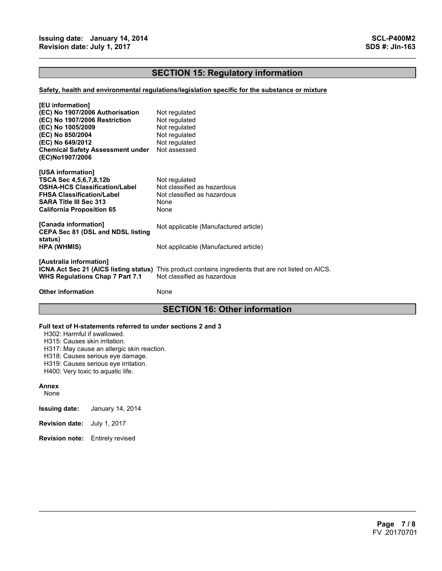## **SECTION 15: Regulatory information**

 $\mathcal{L}_\mathcal{L} = \{ \mathcal{L}_\mathcal{L} = \{ \mathcal{L}_\mathcal{L} = \{ \mathcal{L}_\mathcal{L} = \{ \mathcal{L}_\mathcal{L} = \{ \mathcal{L}_\mathcal{L} = \{ \mathcal{L}_\mathcal{L} = \{ \mathcal{L}_\mathcal{L} = \{ \mathcal{L}_\mathcal{L} = \{ \mathcal{L}_\mathcal{L} = \{ \mathcal{L}_\mathcal{L} = \{ \mathcal{L}_\mathcal{L} = \{ \mathcal{L}_\mathcal{L} = \{ \mathcal{L}_\mathcal{L} = \{ \mathcal{L}_\mathcal{$ 

#### **Safety, health and environmental regulations/legislation specific for the substance or mixture**

| [EU information]<br>(EC) No 1907/2006 Authorisation<br>(EC) No 1907/2006 Restriction<br>(EC) No 1005/2009<br>(EC) No 850/2004<br>(EC) No 649/2012<br><b>Chemical Safety Assessment under</b><br>(EC)No1907/2006 | Not regulated<br>Not regulated<br>Not regulated<br>Not regulated<br>Not regulated<br>Not assessed                                          |
|-----------------------------------------------------------------------------------------------------------------------------------------------------------------------------------------------------------------|--------------------------------------------------------------------------------------------------------------------------------------------|
| [USA information]<br>TSCA Sec 4,5,6,7,8,12b<br>OSHA-HCS Classification/Label<br><b>FHSA Classification/Label</b><br><b>SARA Title III Sec 313</b><br><b>California Proposition 65</b>                           | Not regulated<br>Not classified as hazardous<br>Not classified as hazardous<br>None<br>None                                                |
| [Canada information]<br><b>CEPA Sec 81 (DSL and NDSL listing</b>                                                                                                                                                | Not applicable (Manufactured article)                                                                                                      |
| status)<br>HPA (WHMIS)                                                                                                                                                                                          | Not applicable (Manufactured article)                                                                                                      |
| [Australia information]<br><b>WHS Regulations Chap 7 Part 7.1</b>                                                                                                                                               | <b>ICNA Act Sec 21 (AICS listing status)</b> This product contains ingredients that are not listed on AICS.<br>Not classified as hazardous |
| <b>Other information</b>                                                                                                                                                                                        | None                                                                                                                                       |

## **SECTION 16: Other information**

 $\mathcal{L}_\mathcal{L} = \mathcal{L}_\mathcal{L} = \mathcal{L}_\mathcal{L} = \mathcal{L}_\mathcal{L} = \mathcal{L}_\mathcal{L} = \mathcal{L}_\mathcal{L} = \mathcal{L}_\mathcal{L} = \mathcal{L}_\mathcal{L} = \mathcal{L}_\mathcal{L} = \mathcal{L}_\mathcal{L} = \mathcal{L}_\mathcal{L} = \mathcal{L}_\mathcal{L} = \mathcal{L}_\mathcal{L} = \mathcal{L}_\mathcal{L} = \mathcal{L}_\mathcal{L} = \mathcal{L}_\mathcal{L} = \mathcal{L}_\mathcal{L}$ 

#### **Full text of H-statements referred to under sections 2 and 3**

H302: Harmful if swallowed.

H315: Causes skin irritation.

H317: May cause an allergic skin reaction.

H318: Causes serious eye damage.

H319: Causes serious eye irritation.

H400: Very toxic to aquatic life.

#### **Annex**

None

**Issuing date:** January 14, 2014

- **Revision date:** July 1, 2017
- **Revision note:** Entirely revised